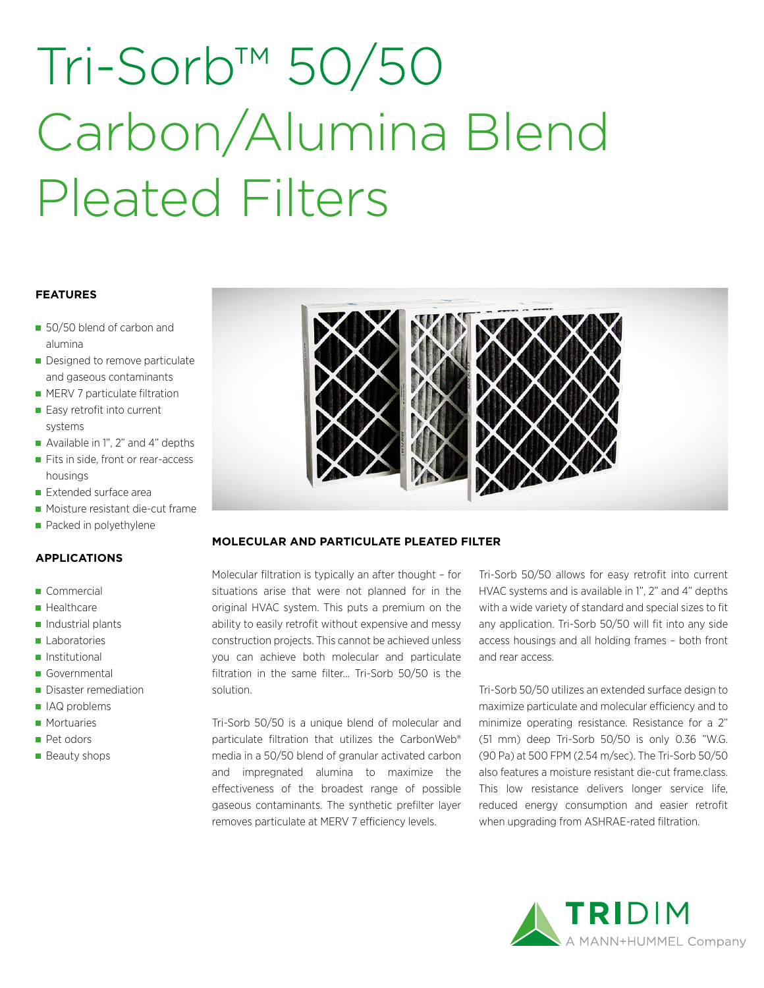# Tri-Sorb™ 50/50 Carbon/Alumina Blend Pleated Filters

### **FEATURES**

- 50/50 blend of carbon and alumina
- Designed to remove particulate and gaseous contaminants
- **MERV 7 particulate filtration**
- Easy retrofit into current systems
- Available in 1", 2" and 4" depths
- Fits in side, front or rear-access housings
- Extended surface area
- **Moisture resistant die-cut frame**
- Packed in polyethylene

## **APPLICATIONS**

- Commercial
- **Healthcare**
- $\blacksquare$  Industrial plants
- **Laboratories**
- **Institutional**
- Governmental
- Disaster remediation
- IAQ problems
- **Mortuaries**
- Pet odors
- **Beauty shops**



## **MOLECULAR AND PARTICULATE PLEATED FILTER**

Molecular filtration is typically an after thought – for situations arise that were not planned for in the original HVAC system. This puts a premium on the ability to easily retrofit without expensive and messy construction projects. This cannot be achieved unless you can achieve both molecular and particulate filtration in the same filter… Tri-Sorb 50/50 is the solution.

Tri-Sorb 50/50 is a unique blend of molecular and particulate filtration that utilizes the CarbonWeb® media in a 50/50 blend of granular activated carbon and impregnated alumina to maximize the effectiveness of the broadest range of possible gaseous contaminants. The synthetic prefilter layer removes particulate at MERV 7 efficiency levels.

Tri-Sorb 50/50 allows for easy retrofit into current HVAC systems and is available in 1", 2" and 4" depths with a wide variety of standard and special sizes to fit any application. Tri-Sorb 50/50 will fit into any side access housings and all holding frames – both front and rear access.

Tri-Sorb 50/50 utilizes an extended surface design to maximize particulate and molecular efficiency and to minimize operating resistance. Resistance for a 2" (51 mm) deep Tri-Sorb 50/50 is only 0.36 "W.G. (90 Pa) at 500 FPM (2.54 m/sec). The Tri-Sorb 50/50 also features a moisture resistant die-cut frame.class. This low resistance delivers longer service life, reduced energy consumption and easier retrofit when upgrading from ASHRAE-rated filtration.